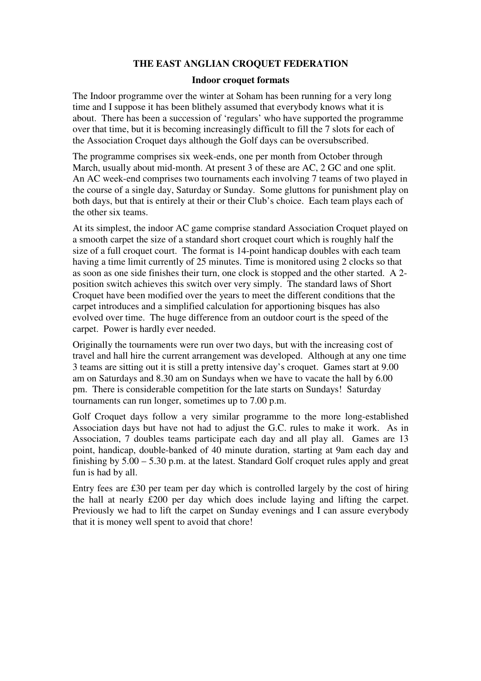## **THE EAST ANGLIAN CROQUET FEDERATION**

#### **Indoor croquet formats**

The Indoor programme over the winter at Soham has been running for a very long time and I suppose it has been blithely assumed that everybody knows what it is about. There has been a succession of 'regulars' who have supported the programme over that time, but it is becoming increasingly difficult to fill the 7 slots for each of the Association Croquet days although the Golf days can be oversubscribed.

The programme comprises six week-ends, one per month from October through March, usually about mid-month. At present 3 of these are AC, 2 GC and one split. An AC week-end comprises two tournaments each involving 7 teams of two played in the course of a single day, Saturday or Sunday. Some gluttons for punishment play on both days, but that is entirely at their or their Club's choice. Each team plays each of the other six teams.

At its simplest, the indoor AC game comprise standard Association Croquet played on a smooth carpet the size of a standard short croquet court which is roughly half the size of a full croquet court. The format is 14-point handicap doubles with each team having a time limit currently of 25 minutes. Time is monitored using 2 clocks so that as soon as one side finishes their turn, one clock is stopped and the other started. A 2 position switch achieves this switch over very simply. The standard laws of Short Croquet have been modified over the years to meet the different conditions that the carpet introduces and a simplified calculation for apportioning bisques has also evolved over time. The huge difference from an outdoor court is the speed of the carpet. Power is hardly ever needed.

Originally the tournaments were run over two days, but with the increasing cost of travel and hall hire the current arrangement was developed. Although at any one time 3 teams are sitting out it is still a pretty intensive day's croquet. Games start at 9.00 am on Saturdays and 8.30 am on Sundays when we have to vacate the hall by 6.00 pm. There is considerable competition for the late starts on Sundays! Saturday tournaments can run longer, sometimes up to 7.00 p.m.

Golf Croquet days follow a very similar programme to the more long-established Association days but have not had to adjust the G.C. rules to make it work. As in Association, 7 doubles teams participate each day and all play all. Games are 13 point, handicap, double-banked of 40 minute duration, starting at 9am each day and finishing by 5.00 – 5.30 p.m. at the latest. Standard Golf croquet rules apply and great fun is had by all.

Entry fees are £30 per team per day which is controlled largely by the cost of hiring the hall at nearly £200 per day which does include laying and lifting the carpet. Previously we had to lift the carpet on Sunday evenings and I can assure everybody that it is money well spent to avoid that chore!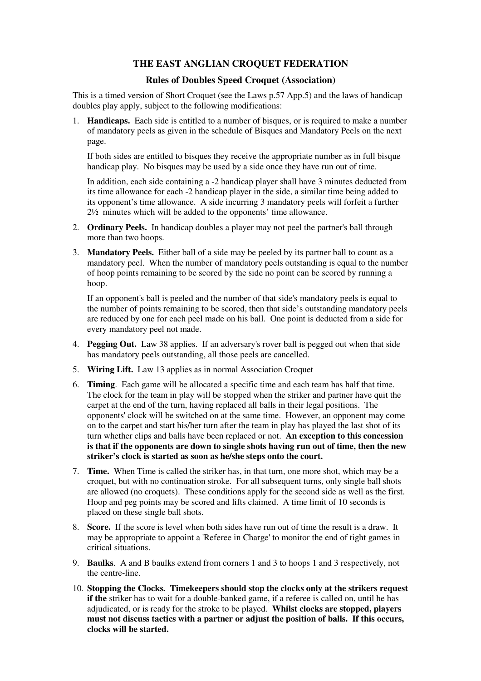# **THE EAST ANGLIAN CROQUET FEDERATION**

### **Rules of Doubles Speed Croquet (Association)**

This is a timed version of Short Croquet (see the Laws p.57 App.5) and the laws of handicap doubles play apply, subject to the following modifications:

1. **Handicaps.** Each side is entitled to a number of bisques, or is required to make a number of mandatory peels as given in the schedule of Bisques and Mandatory Peels on the next page.

If both sides are entitled to bisques they receive the appropriate number as in full bisque handicap play. No bisques may be used by a side once they have run out of time.

In addition, each side containing a -2 handicap player shall have 3 minutes deducted from its time allowance for each -2 handicap player in the side, a similar time being added to its opponent's time allowance. A side incurring 3 mandatory peels will forfeit a further 2½ minutes which will be added to the opponents' time allowance.

- 2. **Ordinary Peels.** In handicap doubles a player may not peel the partner's ball through more than two hoops.
- 3. **Mandatory Peels.** Either ball of a side may be peeled by its partner ball to count as a mandatory peel. When the number of mandatory peels outstanding is equal to the number of hoop points remaining to be scored by the side no point can be scored by running a hoop.

If an opponent's ball is peeled and the number of that side's mandatory peels is equal to the number of points remaining to be scored, then that side's outstanding mandatory peels are reduced by one for each peel made on his ball. One point is deducted from a side for every mandatory peel not made.

- 4. **Pegging Out.** Law 38 applies. If an adversary's rover ball is pegged out when that side has mandatory peels outstanding, all those peels are cancelled.
- 5. **Wiring Lift.** Law 13 applies as in normal Association Croquet
- 6. **Timing**. Each game will be allocated a specific time and each team has half that time. The clock for the team in play will be stopped when the striker and partner have quit the carpet at the end of the turn, having replaced all balls in their legal positions. The opponents' clock will be switched on at the same time. However, an opponent may come on to the carpet and start his/her turn after the team in play has played the last shot of its turn whether clips and balls have been replaced or not. **An exception to this concession is that if the opponents are down to single shots having run out of time, then the new striker's clock is started as soon as he/she steps onto the court.**
- 7. **Time.** When Time is called the striker has, in that turn, one more shot, which may be a croquet, but with no continuation stroke. For all subsequent turns, only single ball shots are allowed (no croquets). These conditions apply for the second side as well as the first. Hoop and peg points may be scored and lifts claimed. A time limit of 10 seconds is placed on these single ball shots.
- 8. **Score.** If the score is level when both sides have run out of time the result is a draw. It may be appropriate to appoint a 'Referee in Charge' to monitor the end of tight games in critical situations.
- 9. **Baulks**. A and B baulks extend from corners 1 and 3 to hoops 1 and 3 respectively, not the centre-line.
- 10. **Stopping the Clocks. Timekeepers should stop the clocks only at the strikers request if the** striker has to wait for a double-banked game, if a referee is called on, until he has adjudicated, or is ready for the stroke to be played. **Whilst clocks are stopped, players must not discuss tactics with a partner or adjust the position of balls. If this occurs, clocks will be started.**